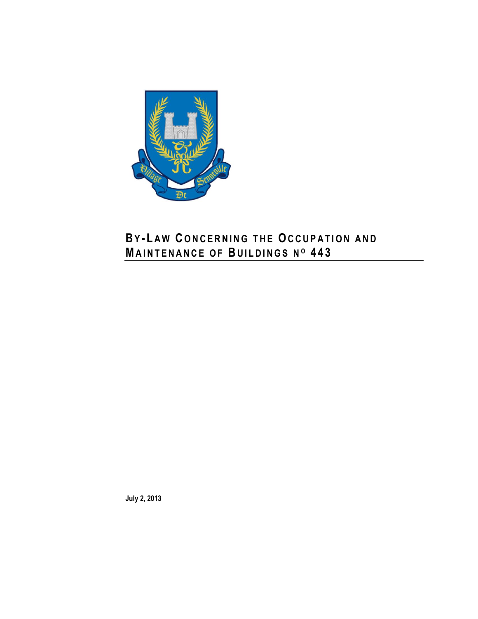

**July 2, 2013**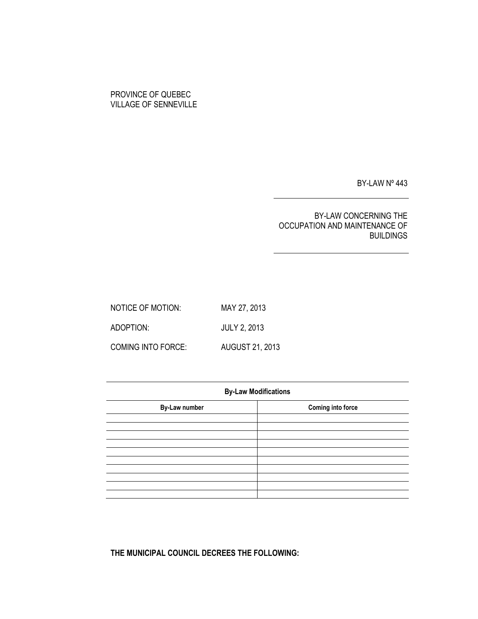# PROVINCE OF QUEBEC VILLAGE OF SENNEVILLE

BY-LAW Nº 443

# BY-LAW CONCERNING THE OCCUPATION AND MAINTENANCE OF BUILDINGS

| NOTICE OF MOTION:  | MAY 27, 2013           |
|--------------------|------------------------|
| ADOPTION:          | <b>JULY 2, 2013</b>    |
| COMING INTO FORCE: | <b>AUGUST 21, 2013</b> |

| <b>By-Law Modifications</b> |                          |  |  |
|-----------------------------|--------------------------|--|--|
| <b>By-Law number</b>        | <b>Coming into force</b> |  |  |
|                             |                          |  |  |
|                             |                          |  |  |
|                             |                          |  |  |
|                             |                          |  |  |
|                             |                          |  |  |
|                             |                          |  |  |
|                             |                          |  |  |
|                             |                          |  |  |
|                             |                          |  |  |

**THE MUNICIPAL COUNCIL DECREES THE FOLLOWING:**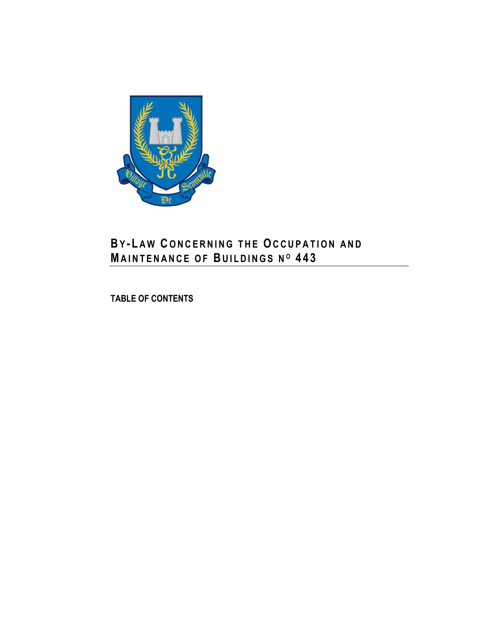

**TABLE OF CONTENTS**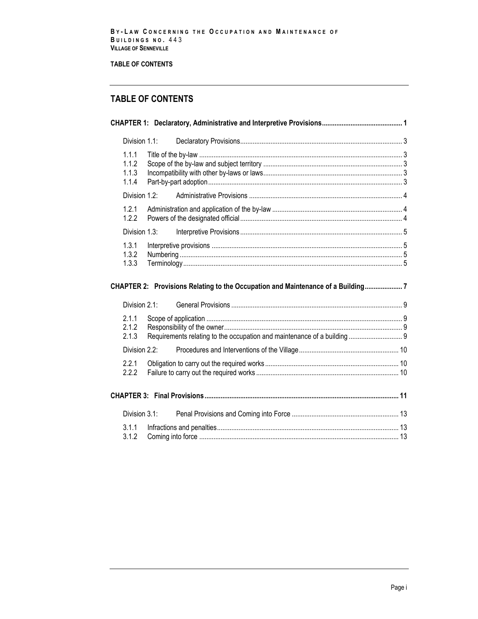# **TABLE OF CONTENTS**

# **TABLE OF CONTENTS**

| Division 1.1:                    |               |                                                                                 |  |
|----------------------------------|---------------|---------------------------------------------------------------------------------|--|
| 1.1.1<br>1.1.2<br>1.1.3<br>1.1.4 |               |                                                                                 |  |
| Division 1.2:                    |               |                                                                                 |  |
| 1.2.1<br>1.2.2                   |               |                                                                                 |  |
| Division 1.3:                    |               |                                                                                 |  |
| 1.3.1<br>1.3.2<br>1.3.3          |               |                                                                                 |  |
|                                  |               |                                                                                 |  |
|                                  |               | CHAPTER 2: Provisions Relating to the Occupation and Maintenance of a Building7 |  |
| Division 2.1:                    |               |                                                                                 |  |
| 2.1.1<br>2.1.2<br>2.1.3          |               |                                                                                 |  |
|                                  | Division 2.2: |                                                                                 |  |
| 2.2.1<br>2.2.2                   |               |                                                                                 |  |
|                                  |               |                                                                                 |  |
| Division 3.1:                    |               |                                                                                 |  |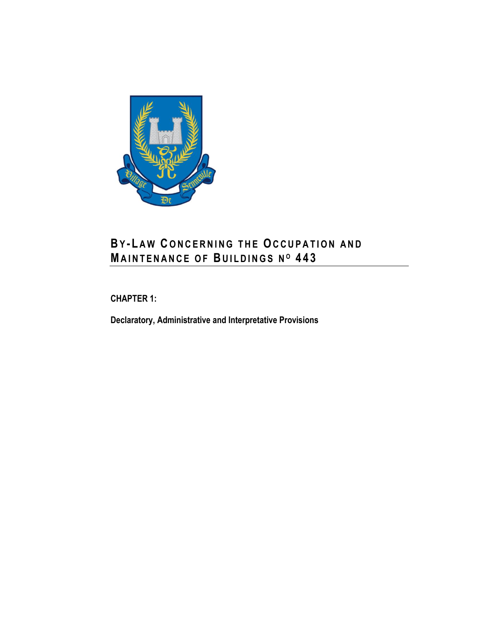

<span id="page-8-0"></span>**CHAPTER 1:**

**Declaratory, Administrative and Interpretative Provisions**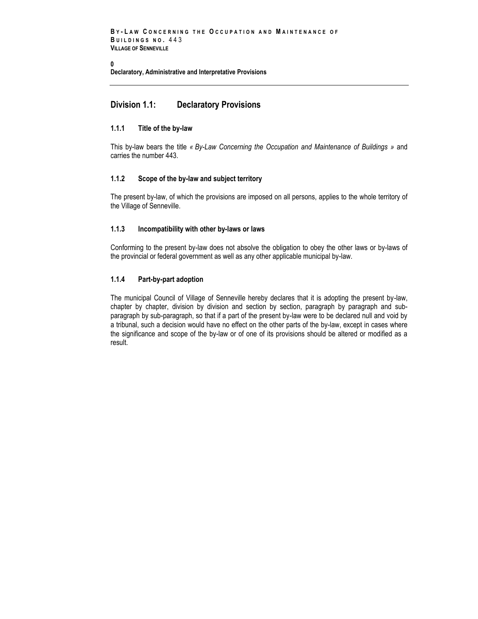**[0](#page-14-1)**

**Declaratory, Administrative and Interpretative Provisions** 

# <span id="page-10-0"></span>**Division 1.1: Declaratory Provisions**

## <span id="page-10-1"></span>**1.1.1 Title of the by-law**

This by-law bears the title *« By-Law Concerning the Occupation and Maintenance of Buildings »* and carries the number 443.

## <span id="page-10-2"></span>**1.1.2 Scope of the by-law and subject territory**

The present by-law, of which the provisions are imposed on all persons, applies to the whole territory of the Village of Senneville.

#### <span id="page-10-3"></span>**1.1.3 Incompatibility with other by-laws or laws**

Conforming to the present by-law does not absolve the obligation to obey the other laws or by-laws of the provincial or federal government as well as any other applicable municipal by-law.

## <span id="page-10-4"></span>**1.1.4 Part-by-part adoption**

The municipal Council of Village of Senneville hereby declares that it is adopting the present by-law, chapter by chapter, division by division and section by section, paragraph by paragraph and subparagraph by sub-paragraph, so that if a part of the present by-law were to be declared null and void by a tribunal, such a decision would have no effect on the other parts of the by-law, except in cases where the significance and scope of the by-law or of one of its provisions should be altered or modified as a result.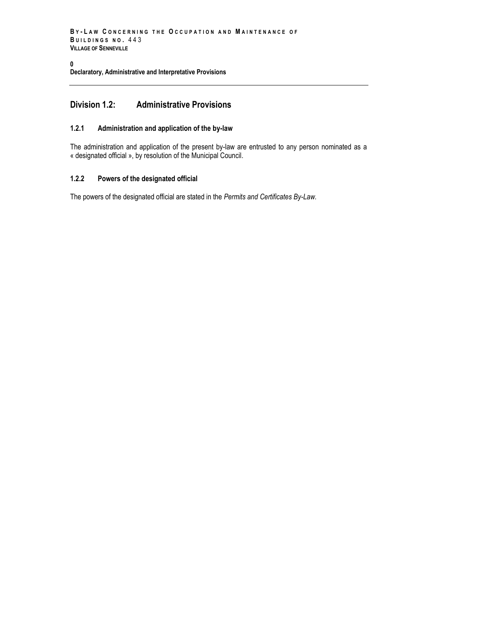```
B Y - L A W C O N C E R N I N G T H E O C C U P A T I O N A N D M A I N T E N A N C E O F 
B U I L D I N G S N O . 443
VILLAGE OF SENNEVILLE
```
#### **[0](#page-14-1) Declaratory, Administrative and Interpretative Provisions**

# <span id="page-11-0"></span>**Division 1.2: Administrative Provisions**

## <span id="page-11-1"></span>**1.2.1 Administration and application of the by-law**

The administration and application of the present by-law are entrusted to any person nominated as a « designated official », by resolution of the Municipal Council.

## <span id="page-11-2"></span>**1.2.2 Powers of the designated official**

The powers of the designated official are stated in the *Permits and Certificates By-Law.*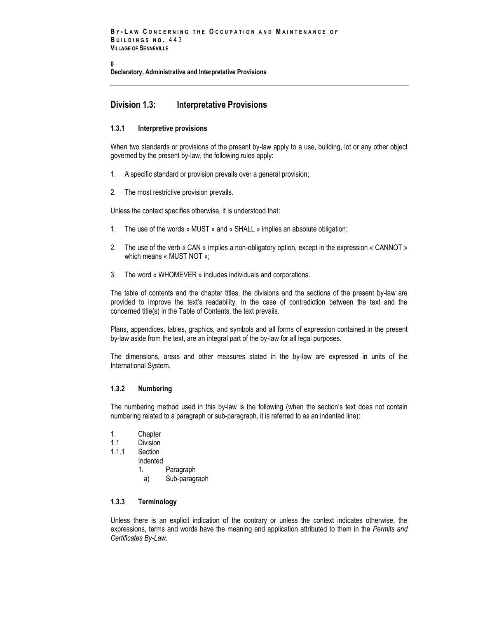**[0](#page-14-1)**

**Declaratory, Administrative and Interpretative Provisions** 

# <span id="page-12-0"></span>**Division 1.3: Interpretative Provisions**

## <span id="page-12-1"></span>**1.3.1 Interpretive provisions**

When two standards or provisions of the present by-law apply to a use, building, lot or any other object governed by the present by-law, the following rules apply:

- 1. A specific standard or provision prevails over a general provision;
- 2. The most restrictive provision prevails.

Unless the context specifies otherwise, it is understood that:

- 1. The use of the words « MUST » and « SHALL » implies an absolute obligation;
- 2. The use of the verb « CAN » implies a non-obligatory option, except in the expression « CANNOT » which means « MUST NOT »;
- 3. The word « WHOMEVER » includes individuals and corporations.

The table of contents and the chapter titles, the divisions and the sections of the present by-law are provided to improve the text's readability. In the case of contradiction between the text and the concerned title(s) in the Table of Contents, the text prevails.

Plans, appendices, tables, graphics, and symbols and all forms of expression contained in the present by-law aside from the text, are an integral part of the by-law for all legal purposes.

The dimensions, areas and other measures stated in the by-law are expressed in units of the International System.

#### <span id="page-12-2"></span>**1.3.2 Numbering**

The numbering method used in this by-law is the following (when the section's text does not contain numbering related to a paragraph or sub-paragraph, it is referred to as an indented line):

- 1. Chapter<br>11 Division
- Division
- 1.1.1 Section
	- Indented
		- 1. Paragraph
		- a) Sub-paragraph

## <span id="page-12-3"></span>**1.3.3 Terminology**

Unless there is an explicit indication of the contrary or unless the context indicates otherwise, the expressions, terms and words have the meaning and application attributed to them in the *Permits and Certificates By-Law.*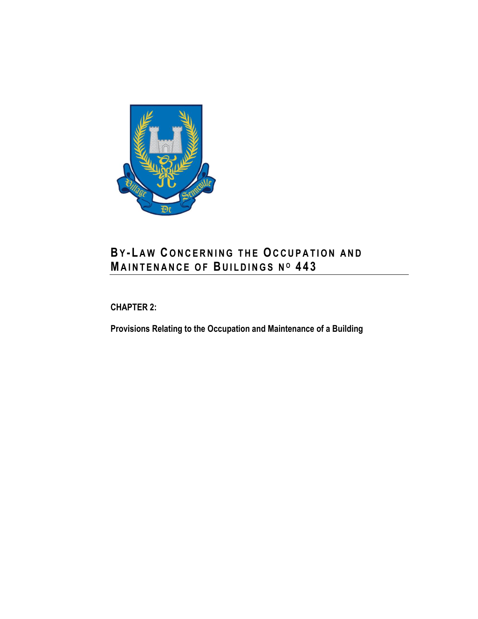

<span id="page-14-0"></span>**CHAPTER 2:**

<span id="page-14-1"></span>**Provisions Relating to the Occupation and Maintenance of a Building**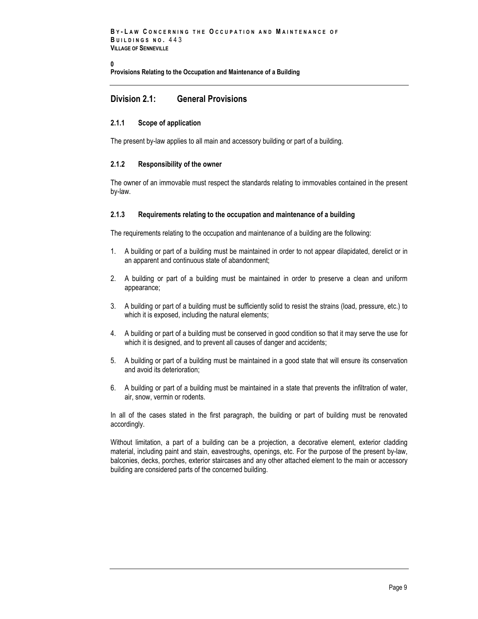```
B Y - L A W C O N C E R N I N G T H E O C C U P A T I O N A N D M A I N T E N A N C E O F 
B U I L D I N G S N O . 443
VILLAGE OF SENNEVILLE
```
**[0](#page-14-1)**

**Provisions Relating to the Occupation and Maintenance of a Building**

# <span id="page-16-0"></span>**Division 2.1: General Provisions**

## <span id="page-16-1"></span>**2.1.1 Scope of application**

<span id="page-16-2"></span>The present by-law applies to all main and accessory building or part of a building.

### **2.1.2 Responsibility of the owner**

The owner of an immovable must respect the standards relating to immovables contained in the present by-law.

## <span id="page-16-3"></span>**2.1.3 Requirements relating to the occupation and maintenance of a building**

The requirements relating to the occupation and maintenance of a building are the following:

- 1. A building or part of a building must be maintained in order to not appear dilapidated, derelict or in an apparent and continuous state of abandonment;
- 2. A building or part of a building must be maintained in order to preserve a clean and uniform appearance;
- 3. A building or part of a building must be sufficiently solid to resist the strains (load, pressure, etc.) to which it is exposed, including the natural elements;
- 4. A building or part of a building must be conserved in good condition so that it may serve the use for which it is designed, and to prevent all causes of danger and accidents;
- 5. A building or part of a building must be maintained in a good state that will ensure its conservation and avoid its deterioration;
- 6. A building or part of a building must be maintained in a state that prevents the infiltration of water, air, snow, vermin or rodents.

In all of the cases stated in the first paragraph, the building or part of building must be renovated accordingly.

Without limitation, a part of a building can be a projection, a decorative element, exterior cladding material, including paint and stain, eavestroughs, openings, etc. For the purpose of the present by-law, balconies, decks, porches, exterior staircases and any other attached element to the main or accessory building are considered parts of the concerned building.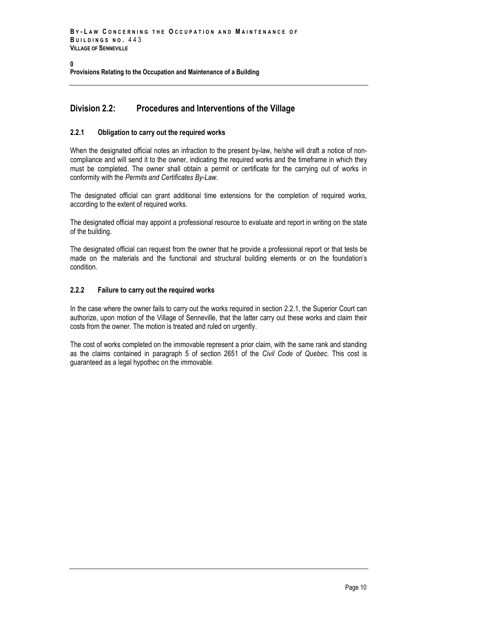#### **[0](#page-14-1) Provisions Relating to the Occupation and Maintenance of a Building**

# <span id="page-17-0"></span>**Division 2.2: Procedures and Interventions of the Village**

## <span id="page-17-1"></span>**2.2.1 Obligation to carry out the required works**

When the designated official notes an infraction to the present by-law, he/she will draft a notice of noncompliance and will send it to the owner, indicating the required works and the timeframe in which they must be completed. The owner shall obtain a permit or certificate for the carrying out of works in conformity with the *Permits and Certificates By-Law.*

The designated official can grant additional time extensions for the completion of required works, according to the extent of required works.

The designated official may appoint a professional resource to evaluate and report in writing on the state of the building.

The designated official can request from the owner that he provide a professional report or that tests be made on the materials and the functional and structural building elements or on the foundation's condition.

## <span id="page-17-2"></span>**2.2.2 Failure to carry out the required works**

In the case where the owner fails to carry out the works required in section 2.2.1, the Superior Court can authorize, upon motion of the Village of Senneville, that the latter carry out these works and claim their costs from the owner. The motion is treated and ruled on urgently.

The cost of works completed on the immovable represent a prior claim, with the same rank and standing as the claims contained in paragraph 5 of section 2651 of the *Civil Code of Quebec*. This cost is guaranteed as a legal hypothec on the immovable.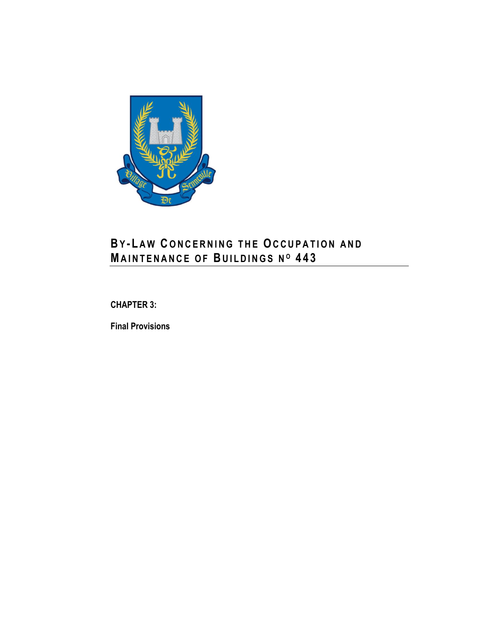

<span id="page-18-0"></span>**CHAPTER 3:**

**Final Provisions**